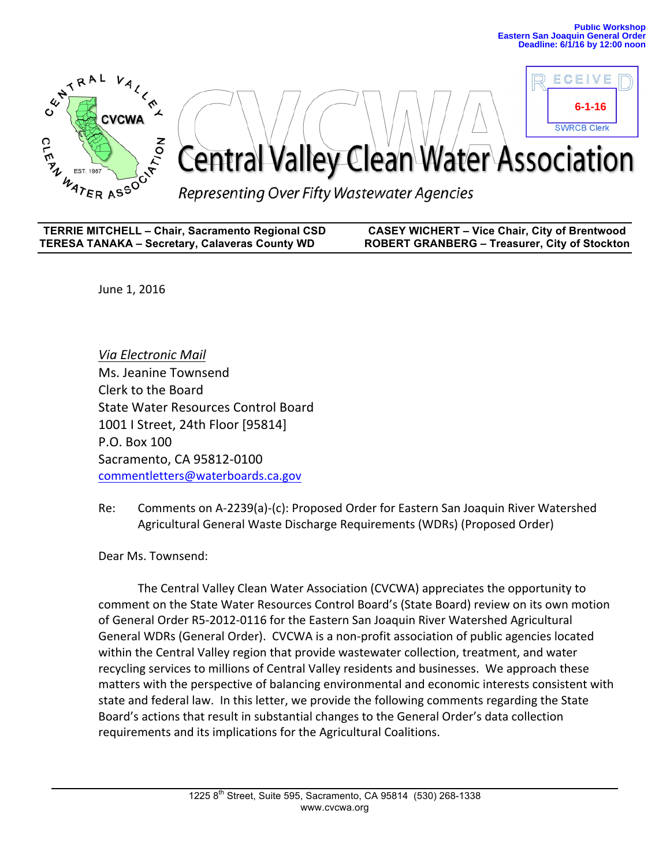

| <b>TERRIE MITCHELL - Chair, Sacramento Regional CSD</b> | <b>CASEY WICHERT - Vice Chair, City of Brentwood</b> |
|---------------------------------------------------------|------------------------------------------------------|
| <b>TERESA TANAKA - Secretary, Calaveras County WD</b>   | <b>ROBERT GRANBERG - Treasurer, City of Stockton</b> |

June 1, 2016

*Via Electronic Mail* Ms. Jeanine Townsend Clerk to the Board State Water Resources Control Board 1001 | Street, 24th Floor [95814] P.O. Box 100 Sacramento, CA 95812-0100 commentletters@waterboards.ca.gov

Re: Comments on A-2239(a)-(c): Proposed Order for Eastern San Joaquin River Watershed Agricultural General Waste Discharge Requirements (WDRs) (Proposed Order)

Dear Ms. Townsend:

The Central Valley Clean Water Association (CVCWA) appreciates the opportunity to comment on the State Water Resources Control Board's (State Board) review on its own motion of General Order R5-2012-0116 for the Eastern San Joaquin River Watershed Agricultural General WDRs (General Order). CVCWA is a non-profit association of public agencies located within the Central Valley region that provide wastewater collection, treatment, and water recycling services to millions of Central Valley residents and businesses. We approach these matters with the perspective of balancing environmental and economic interests consistent with state and federal law. In this letter, we provide the following comments regarding the State Board's actions that result in substantial changes to the General Order's data collection requirements and its implications for the Agricultural Coalitions.